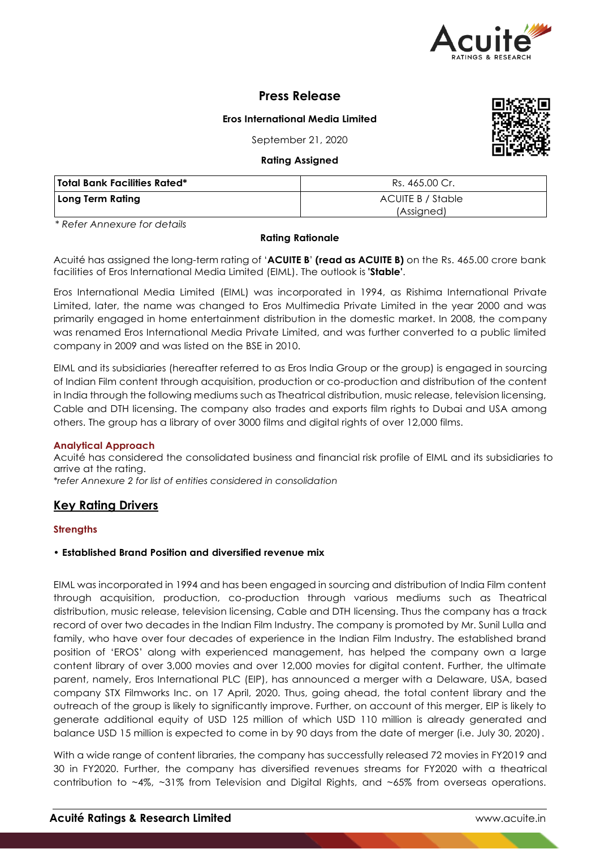

# **Press Release**

## **Eros International Media Limited**

September 21, 2020

**Rating Assigned**

| wanny wanguca                |                   |  |  |  |
|------------------------------|-------------------|--|--|--|
| Total Bank Facilities Rated* | Rs. 465.00 Cr.    |  |  |  |
| Long Term Rating             | ACUITE B / Stable |  |  |  |
|                              | (Assigned)        |  |  |  |

*\* Refer Annexure for details*

## **Rating Rationale**

Acuité has assigned the long-term rating of '**ACUITE B**' **(read as ACUITE B)** on the Rs. 465.00 crore bank facilities of Eros International Media Limited (EIML). The outlook is **'Stable'**.

Eros International Media Limited (EIML) was incorporated in 1994, as Rishima International Private Limited, later, the name was changed to Eros Multimedia Private Limited in the year 2000 and was primarily engaged in home entertainment distribution in the domestic market. In 2008, the company was renamed Eros International Media Private Limited, and was further converted to a public limited company in 2009 and was listed on the BSE in 2010.

EIML and its subsidiaries (hereafter referred to as Eros India Group or the group) is engaged in sourcing of Indian Film content through acquisition, production or co-production and distribution of the content in India through the following mediums such as Theatrical distribution, music release, television licensing, Cable and DTH licensing. The company also trades and exports film rights to Dubai and USA among others. The group has a library of over 3000 films and digital rights of over 12,000 films.

## **Analytical Approach**

Acuité has considered the consolidated business and financial risk profile of EIML and its subsidiaries to arrive at the rating.

*\*refer Annexure 2 for list of entities considered in consolidation*

# **Key Rating Drivers**

## **Strengths**

## • **Established Brand Position and diversified revenue mix**

EIML was incorporated in 1994 and has been engaged in sourcing and distribution of India Film content through acquisition, production, co-production through various mediums such as Theatrical distribution, music release, television licensing, Cable and DTH licensing. Thus the company has a track record of over two decades in the Indian Film Industry. The company is promoted by Mr. Sunil Lulla and family, who have over four decades of experience in the Indian Film Industry. The established brand position of 'EROS' along with experienced management, has helped the company own a large content library of over 3,000 movies and over 12,000 movies for digital content. Further, the ultimate parent, namely, Eros International PLC (EIP), has announced a merger with a Delaware, USA, based company STX Filmworks Inc. on 17 April, 2020. Thus, going ahead, the total content library and the outreach of the group is likely to significantly improve. Further, on account of this merger, EIP is likely to generate additional equity of USD 125 million of which USD 110 million is already generated and balance USD 15 million is expected to come in by 90 days from the date of merger (i.e. July 30, 2020).

With a wide range of content libraries, the company has successfully released 72 movies in FY2019 and 30 in FY2020. Further, the company has diversified revenues streams for FY2020 with a theatrical contribution to ~4%, ~31% from Television and Digital Rights, and ~65% from overseas operations.

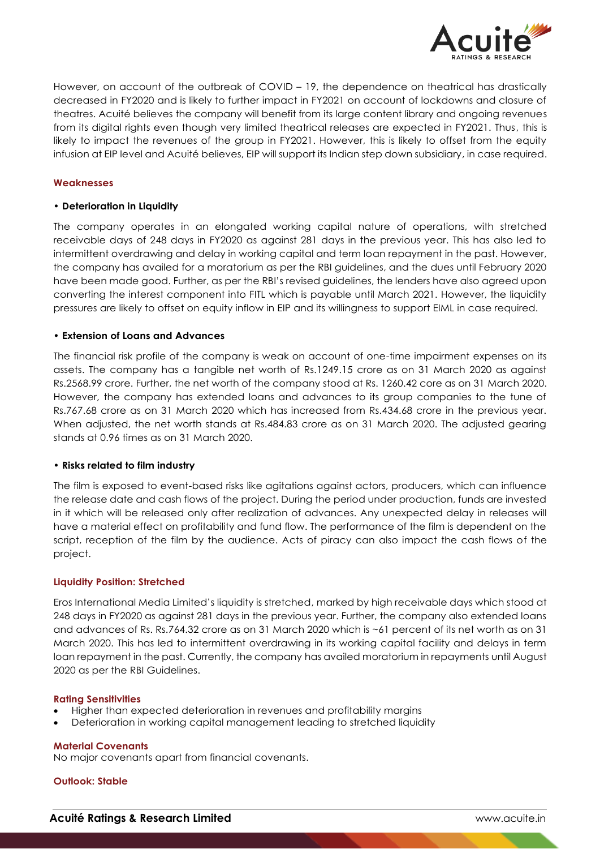

However, on account of the outbreak of COVID – 19, the dependence on theatrical has drastically decreased in FY2020 and is likely to further impact in FY2021 on account of lockdowns and closure of theatres. Acuité believes the company will benefit from its large content library and ongoing revenues from its digital rights even though very limited theatrical releases are expected in FY2021. Thus, this is likely to impact the revenues of the group in FY2021. However, this is likely to offset from the equity infusion at EIP level and Acuité believes, EIP will support its Indian step down subsidiary, in case required.

## **Weaknesses**

## • **Deterioration in Liquidity**

The company operates in an elongated working capital nature of operations, with stretched receivable days of 248 days in FY2020 as against 281 days in the previous year. This has also led to intermittent overdrawing and delay in working capital and term loan repayment in the past. However, the company has availed for a moratorium as per the RBI guidelines, and the dues until February 2020 have been made good. Further, as per the RBI's revised guidelines, the lenders have also agreed upon converting the interest component into FITL which is payable until March 2021. However, the liquidity pressures are likely to offset on equity inflow in EIP and its willingness to support EIML in case required.

## • **Extension of Loans and Advances**

The financial risk profile of the company is weak on account of one-time impairment expenses on its assets. The company has a tangible net worth of Rs.1249.15 crore as on 31 March 2020 as against Rs.2568.99 crore. Further, the net worth of the company stood at Rs. 1260.42 core as on 31 March 2020. However, the company has extended loans and advances to its group companies to the tune of Rs.767.68 crore as on 31 March 2020 which has increased from Rs.434.68 crore in the previous year. When adjusted, the net worth stands at Rs.484.83 crore as on 31 March 2020. The adjusted gearing stands at 0.96 times as on 31 March 2020.

#### • **Risks related to film industry**

The film is exposed to event-based risks like agitations against actors, producers, which can influence the release date and cash flows of the project. During the period under production, funds are invested in it which will be released only after realization of advances. Any unexpected delay in releases will have a material effect on profitability and fund flow. The performance of the film is dependent on the script, reception of the film by the audience. Acts of piracy can also impact the cash flows of the project.

#### **Liquidity Position: Stretched**

Eros International Media Limited's liquidity is stretched, marked by high receivable days which stood at 248 days in FY2020 as against 281 days in the previous year. Further, the company also extended loans and advances of Rs. Rs.764.32 crore as on 31 March 2020 which is ~61 percent of its net worth as on 31 March 2020. This has led to intermittent overdrawing in its working capital facility and delays in term loan repayment in the past. Currently, the company has availed moratorium in repayments until August 2020 as per the RBI Guidelines.

#### **Rating Sensitivities**

- Higher than expected deterioration in revenues and profitability margins
- Deterioration in working capital management leading to stretched liquidity

#### **Material Covenants**

No major covenants apart from financial covenants.

## **Outlook: Stable**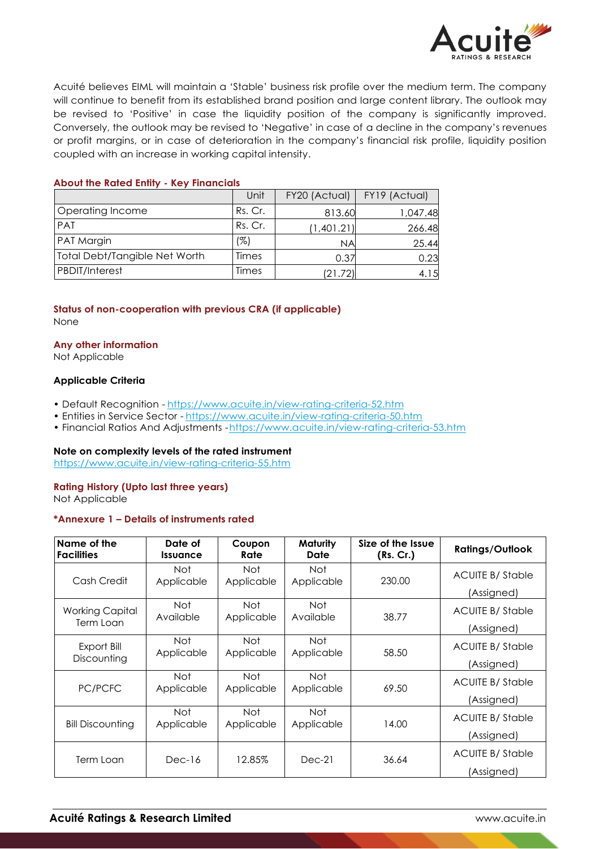

Acuité believes EIML will maintain a 'Stable' business risk profile over the medium term. The company will continue to benefit from its established brand position and large content library. The outlook may be revised to 'Positive' in case the liquidity position of the company is significantly improved. Conversely, the outlook may be revised to 'Negative' in case of a decline in the company's revenues or profit margins, or in case of deterioration in the company's financial risk profile, liquidity position coupled with an increase in working capital intensity.

## **About the Rated Entity - Key Financials**

|                               | Unit    | FY20 (Actual) | FY19 (Actual) |
|-------------------------------|---------|---------------|---------------|
| Operating Income              | Rs. Cr. | 813.60        | 1,047.48      |
| <b>PAT</b>                    | Rs. Cr. | (1,401.21)    | 266.48        |
| PAT Margin                    | (%)     | <b>NA</b>     | 25.44         |
| Total Debt/Tangible Net Worth | Times   | 0.37          | 0.23          |
| <b>PBDIT/Interest</b>         | Times   | (21.72)       | 4.15          |

## **Status of non-cooperation with previous CRA (if applicable)** None

#### **Any other information**

Not Applicable

## **Applicable Criteria**

- Default Recognition https://www.acuite.in/view-rating-criteria-52.htm
- Entities in Service Sector https://www.acuite.in/view-rating-criteria-50.htm
- Financial Ratios And Adjustments -https://www.acuite.in/view-rating-criteria-53.htm

#### **Note on complexity levels of the rated instrument**

https://www.acuite.in/view-rating-criteria-55.htm

# **Rating History (Upto last three years)**

Not Applicable

#### **\*Annexure 1 – Details of instruments rated**

| Name of the<br><b>Facilities</b>    | Date of<br><i><u><b>Issuance</b></u></i> | Coupon<br>Rate    | Maturity<br>Date         | Size of the Issue<br>(Rs. Cr.) | <b>Ratings/Outlook</b>                |
|-------------------------------------|------------------------------------------|-------------------|--------------------------|--------------------------------|---------------------------------------|
| Cash Credit                         | <b>Not</b><br>Applicable                 | Not<br>Applicable | Not<br>Applicable        | 230.00                         | <b>ACUITE B/ Stable</b><br>(Assigned) |
| <b>Working Capital</b><br>Term Loan | <b>Not</b><br>Available                  | Not<br>Applicable | Not<br>Available         | 38.77                          | <b>ACUITE B/Stable</b><br>(Assigned)  |
| Export Bill<br>Discounting          | Not<br>Applicable                        | Not<br>Applicable | Not<br>Applicable        | 58.50                          | <b>ACUITE B/Stable</b><br>(Assigned)  |
| PC/PCFC                             | <b>Not</b><br>Applicable                 | Not<br>Applicable | Not<br>Applicable        | 69.50                          | <b>ACUITE B/Stable</b><br>(Assigned)  |
| <b>Bill Discounting</b>             | <b>Not</b><br>Applicable                 | Not<br>Applicable | <b>Not</b><br>Applicable | 14.00                          | ACUITE B/Stable<br>(Assigned)         |
| Term Loan                           | Dec-16                                   | 12.85%            | $Dec-21$                 | 36.64                          | <b>ACUITE B/Stable</b><br>(Assigned)  |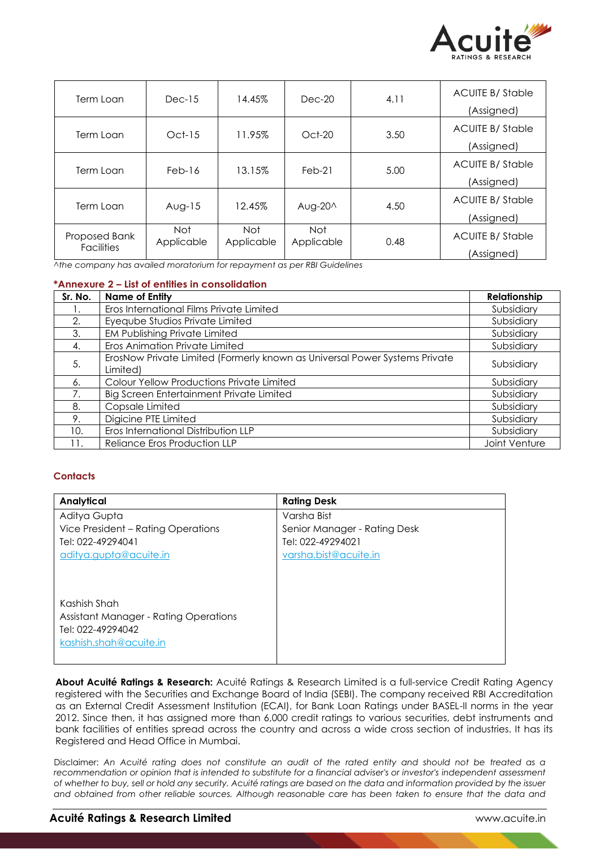

| Term Loan                          | $Dec-15$          | 14.45%             | $Dec-20$          | 4.11 | <b>ACUITE B/Stable</b><br>(Assigned)  |
|------------------------------------|-------------------|--------------------|-------------------|------|---------------------------------------|
| Term Loan                          | $Oct-15$          | 11.95%             | $Oct-20$          | 3.50 | <b>ACUITE B/ Stable</b><br>(Assigned) |
| Term Loan                          | $Feb-16$          | 13.15%             | $Feb-21$          | 5.00 | <b>ACUITE B/ Stable</b><br>(Assigned) |
| Term Loan                          | $Avg-15$          | 12.45%             | Aug-20^           | 4.50 | <b>ACUITE B/ Stable</b><br>(Assigned) |
| Proposed Bank<br><b>Facilities</b> | Not<br>Applicable | Not.<br>Applicable | Not<br>Applicable | 0.48 | <b>ACUITE B/ Stable</b><br>(Assigned) |

*^the company has availed moratorium for repayment as per RBI Guidelines*

## **\*Annexure 2 – List of entities in consolidation**

| Sr. No. | <b>Name of Entity</b>                                                                  | Relationship  |
|---------|----------------------------------------------------------------------------------------|---------------|
| Ι.      | Eros International Films Private Limited                                               | Subsidiary    |
| 2.      | Eyeqube Studios Private Limited                                                        | Subsidiary    |
| 3.      | <b>EM Publishing Private Limited</b>                                                   | Subsidiary    |
| 4.      | Eros Animation Private Limited                                                         | Subsidiary    |
| 5.      | ErosNow Private Limited (Formerly known as Universal Power Systems Private<br>Limited) | Subsidiary    |
| 6.      | Colour Yellow Productions Private Limited                                              | Subsidiary    |
| 7.      | Big Screen Entertainment Private Limited                                               | Subsidiary    |
| 8.      | Copsale Limited                                                                        | Subsidiary    |
| 9.      | Digicine PTE Limited                                                                   | Subsidiary    |
| 10.     | Eros International Distribution LLP                                                    | Subsidiary    |
| 11.     | Reliance Eros Production LLP                                                           | Joint Venture |

## **Contacts**

| <b>Analytical</b>                            | <b>Rating Desk</b>           |
|----------------------------------------------|------------------------------|
| Aditya Gupta                                 | Varsha Bist                  |
| Vice President – Rating Operations           | Senior Manager - Rating Desk |
| Tel: 022-49294041                            | Tel: 022-49294021            |
| aditya.gupta@acuite.in                       | varsha.bist@acuite.in        |
|                                              |                              |
|                                              |                              |
| Kashish Shah                                 |                              |
| <b>Assistant Manager - Rating Operations</b> |                              |
| Tel: 022-49294042                            |                              |
| kashish.shah@acuite.in                       |                              |
|                                              |                              |

**About Acuité Ratings & Research:** Acuité Ratings & Research Limited is a full-service Credit Rating Agency registered with the Securities and Exchange Board of India (SEBI). The company received RBI Accreditation as an External Credit Assessment Institution (ECAI), for Bank Loan Ratings under BASEL-II norms in the year 2012. Since then, it has assigned more than 6,000 credit ratings to various securities, debt instruments and bank facilities of entities spread across the country and across a wide cross section of industries. It has its Registered and Head Office in Mumbai.

Disclaimer: *An Acuité rating does not constitute an audit of the rated entity and should not be treated as a recommendation or opinion that is intended to substitute for a financial adviser's or investor's independent assessment of whether to buy, sell or hold any security. Acuité ratings are based on the data and information provided by the issuer and obtained from other reliable sources. Although reasonable care has been taken to ensure that the data and*